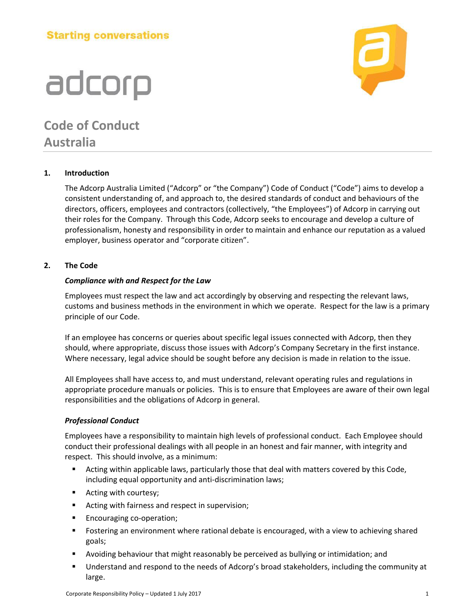### **Starting conversations**

# adcorp

### **Code of Conduct Australia**

#### **1. Introduction**

The Adcorp Australia Limited ("Adcorp" or "the Company") Code of Conduct ("Code") aims to develop a consistent understanding of, and approach to, the desired standards of conduct and behaviours of the directors, officers, employees and contractors (collectively, "the Employees") of Adcorp in carrying out their roles for the Company. Through this Code, Adcorp seeks to encourage and develop a culture of professionalism, honesty and responsibility in order to maintain and enhance our reputation as a valued employer, business operator and "corporate citizen".

#### **2. The Code**

#### *Compliance with and Respect for the Law*

Employees must respect the law and act accordingly by observing and respecting the relevant laws, customs and business methods in the environment in which we operate. Respect for the law is a primary principle of our Code.

If an employee has concerns or queries about specific legal issues connected with Adcorp, then they should, where appropriate, discuss those issues with Adcorp's Company Secretary in the first instance. Where necessary, legal advice should be sought before any decision is made in relation to the issue.

All Employees shall have access to, and must understand, relevant operating rules and regulations in appropriate procedure manuals or policies. This is to ensure that Employees are aware of their own legal responsibilities and the obligations of Adcorp in general.

#### *Professional Conduct*

Employees have a responsibility to maintain high levels of professional conduct. Each Employee should conduct their professional dealings with all people in an honest and fair manner, with integrity and respect. This should involve, as a minimum:

- Acting within applicable laws, particularly those that deal with matters covered by this Code, including equal opportunity and anti-discrimination laws;
- Acting with courtesy;
- Acting with fairness and respect in supervision;
- **Encouraging co-operation;**
- Fostering an environment where rational debate is encouraged, with a view to achieving shared goals;
- Avoiding behaviour that might reasonably be perceived as bullying or intimidation; and
- Understand and respond to the needs of Adcorp's broad stakeholders, including the community at large.

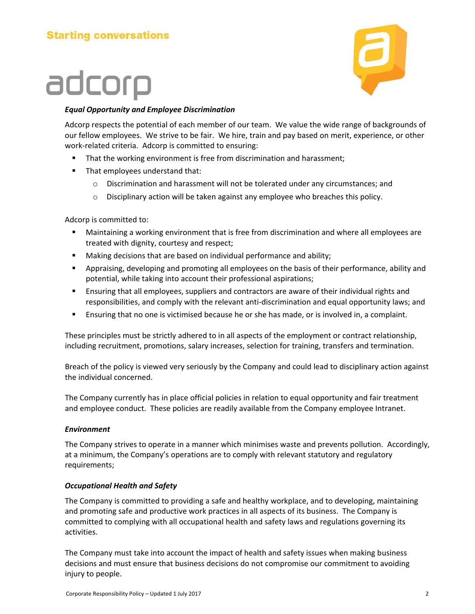

#### *Equal Opportunity and Employee Discrimination*

Adcorp respects the potential of each member of our team. We value the wide range of backgrounds of our fellow employees. We strive to be fair. We hire, train and pay based on merit, experience, or other work-related criteria. Adcorp is committed to ensuring:

- That the working environment is free from discrimination and harassment;
- That employees understand that:
	- o Discrimination and harassment will not be tolerated under any circumstances; and
	- $\circ$  Disciplinary action will be taken against any employee who breaches this policy.

Adcorp is committed to:

- Maintaining a working environment that is free from discrimination and where all employees are treated with dignity, courtesy and respect;
- **Making decisions that are based on individual performance and ability;**
- Appraising, developing and promoting all employees on the basis of their performance, ability and potential, while taking into account their professional aspirations;
- Ensuring that all employees, suppliers and contractors are aware of their individual rights and responsibilities, and comply with the relevant anti-discrimination and equal opportunity laws; and
- Ensuring that no one is victimised because he or she has made, or is involved in, a complaint.

These principles must be strictly adhered to in all aspects of the employment or contract relationship, including recruitment, promotions, salary increases, selection for training, transfers and termination.

Breach of the policy is viewed very seriously by the Company and could lead to disciplinary action against the individual concerned.

The Company currently has in place official policies in relation to equal opportunity and fair treatment and employee conduct. These policies are readily available from the Company employee Intranet.

#### *Environment*

The Company strives to operate in a manner which minimises waste and prevents pollution. Accordingly, at a minimum, the Company's operations are to comply with relevant statutory and regulatory requirements;

#### *Occupational Health and Safety*

The Company is committed to providing a safe and healthy workplace, and to developing, maintaining and promoting safe and productive work practices in all aspects of its business. The Company is committed to complying with all occupational health and safety laws and regulations governing its activities.

The Company must take into account the impact of health and safety issues when making business decisions and must ensure that business decisions do not compromise our commitment to avoiding injury to people.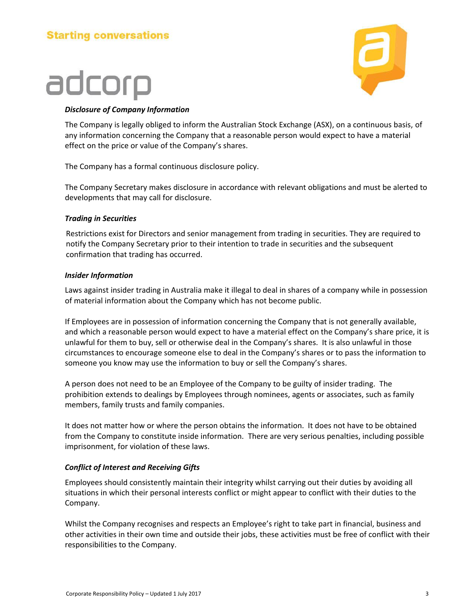

#### *Disclosure of Company Information*

The Company is legally obliged to inform the Australian Stock Exchange (ASX), on a continuous basis, of any information concerning the Company that a reasonable person would expect to have a material effect on the price or value of the Company's shares.

The Company has a formal continuous disclosure policy.

The Company Secretary makes disclosure in accordance with relevant obligations and must be alerted to developments that may call for disclosure.

#### *Trading in Securities*

Restrictions exist for Directors and senior management from trading in securities. They are required to notify the Company Secretary prior to their intention to trade in securities and the subsequent confirmation that trading has occurred.

#### *Insider Information*

Laws against insider trading in Australia make it illegal to deal in shares of a company while in possession of material information about the Company which has not become public.

If Employees are in possession of information concerning the Company that is not generally available, and which a reasonable person would expect to have a material effect on the Company's share price, it is unlawful for them to buy, sell or otherwise deal in the Company's shares. It is also unlawful in those circumstances to encourage someone else to deal in the Company's shares or to pass the information to someone you know may use the information to buy or sell the Company's shares.

A person does not need to be an Employee of the Company to be guilty of insider trading. The prohibition extends to dealings by Employees through nominees, agents or associates, such as family members, family trusts and family companies.

It does not matter how or where the person obtains the information. It does not have to be obtained from the Company to constitute inside information. There are very serious penalties, including possible imprisonment, for violation of these laws.

#### *Conflict of Interest and Receiving Gifts*

Employees should consistently maintain their integrity whilst carrying out their duties by avoiding all situations in which their personal interests conflict or might appear to conflict with their duties to the Company.

Whilst the Company recognises and respects an Employee's right to take part in financial, business and other activities in their own time and outside their jobs, these activities must be free of conflict with their responsibilities to the Company.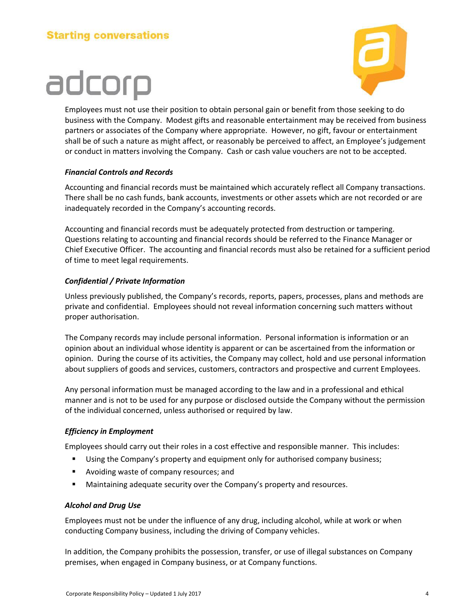

Employees must not use their position to obtain personal gain or benefit from those seeking to do business with the Company. Modest gifts and reasonable entertainment may be received from business partners or associates of the Company where appropriate. However, no gift, favour or entertainment shall be of such a nature as might affect, or reasonably be perceived to affect, an Employee's judgement or conduct in matters involving the Company. Cash or cash value vouchers are not to be accepted.

#### *Financial Controls and Records*

Accounting and financial records must be maintained which accurately reflect all Company transactions. There shall be no cash funds, bank accounts, investments or other assets which are not recorded or are inadequately recorded in the Company's accounting records.

Accounting and financial records must be adequately protected from destruction or tampering. Questions relating to accounting and financial records should be referred to the Finance Manager or Chief Executive Officer. The accounting and financial records must also be retained for a sufficient period of time to meet legal requirements.

#### *Confidential / Private Information*

Unless previously published, the Company's records, reports, papers, processes, plans and methods are private and confidential. Employees should not reveal information concerning such matters without proper authorisation.

The Company records may include personal information. Personal information is information or an opinion about an individual whose identity is apparent or can be ascertained from the information or opinion. During the course of its activities, the Company may collect, hold and use personal information about suppliers of goods and services, customers, contractors and prospective and current Employees.

Any personal information must be managed according to the law and in a professional and ethical manner and is not to be used for any purpose or disclosed outside the Company without the permission of the individual concerned, unless authorised or required by law.

#### *Efficiency in Employment*

Employees should carry out their roles in a cost effective and responsible manner. This includes:

- Using the Company's property and equipment only for authorised company business;
- **Avoiding waste of company resources; and**
- Maintaining adequate security over the Company's property and resources.

#### *Alcohol and Drug Use*

Employees must not be under the influence of any drug, including alcohol, while at work or when conducting Company business, including the driving of Company vehicles.

In addition, the Company prohibits the possession, transfer, or use of illegal substances on Company premises, when engaged in Company business, or at Company functions.